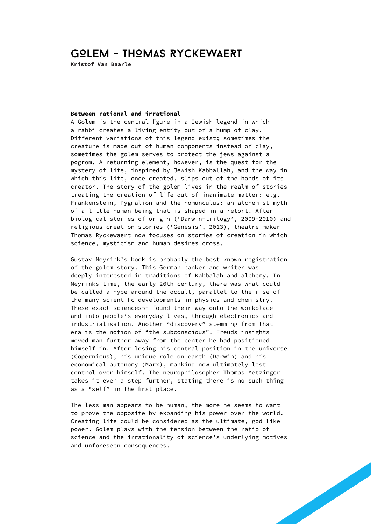## GOLEM - THomas Ryckewaert

**Kristof Van Baarle**

## **Between rational and irrational**

A Golem is the central figure in a Jewish legend in which a rabbi creates a living entity out of a hump of clay. Different variations of this legend exist; sometimes the creature is made out of human components instead of clay, sometimes the golem serves to protect the jews against a pogrom. A returning element, however, is the quest for the mystery of life, inspired by Jewish Kabballah, and the way in which this life, once created, slips out of the hands of its creator. The story of the golem lives in the realm of stories treating the creation of life out of inanimate matter: e.g. Frankenstein, Pygmalion and the homunculus: an alchemist myth of a little human being that is shaped in a retort. After biological stories of origin ('Darwin-trilogy', 2009-2010) and religious creation stories ('Genesis', 2013), theatre maker Thomas Ryckewaert now focuses on stories of creation in which science, mysticism and human desires cross.

Gustav Meyrink's book is probably the best known registration of the golem story. This German banker and writer was deeply interested in traditions of Kabbalah and alchemy. In Meyrinks time, the early 20th century, there was what could be called a hype around the occult, parallel to the rise of the many scientific developments in physics and chemistry. These exact sciences¬¬ found their way onto the workplace and into people's everyday lives, through electronics and industrialisation. Another "discovery" stemming from that era is the notion of "the subconscious". Freuds insights moved man further away from the center he had positioned himself in. After losing his central position in the universe (Copernicus), his unique role on earth (Darwin) and his economical autonomy (Marx), mankind now ultimately lost control over himself. The neurophilosopher Thomas Metzinger takes it even a step further, stating there is no such thing as a "self" in the first place.

The less man appears to be human, the more he seems to want to prove the opposite by expanding his power over the world. Creating life could be considered as the ultimate, god-like power. Golem plays with the tension between the ratio of science and the irrationality of science's underlying motives and unforeseen consequences.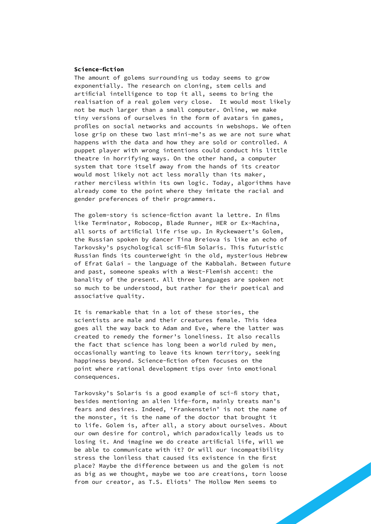## **Science-fiction**

The amount of golems surrounding us today seems to grow exponentially. The research on cloning, stem cells and artificial intelligence to top it all, seems to bring the realisation of a real golem very close. It would most likely not be much larger than a small computer. Online, we make tiny versions of ourselves in the form of avatars in games, profiles on social networks and accounts in webshops. We often lose grip on these two last mini-me's as we are not sure what happens with the data and how they are sold or controlled. A puppet player with wrong intentions could conduct his little theatre in horrifying ways. On the other hand, a computer system that tore itself away from the hands of its creator would most likely not act less morally than its maker, rather merciless within its own logic. Today, algorithms have already come to the point where they imitate the racial and gender preferences of their programmers.

The golem-story is science-fiction avant la lettre. In films like Terminator, Robocop, Blade Runner, HER or Ex-Machina, all sorts of artificial life rise up. In Ryckewaert's Golem, the Russian spoken by dancer Tina Breiova is like an echo of Tarkovsky's psychological scifi-film Solaris. This futuristic Russian finds its counterweight in the old, mysterious Hebrew of Efrat Galai – the language of the Kabbalah. Between future and past, someone speaks with a West-Flemish accent: the banality of the present. All three languages are spoken not so much to be understood, but rather for their poetical and associative quality.

It is remarkable that in a lot of these stories, the scientists are male and their creatures female. This idea goes all the way back to Adam and Eve, where the latter was created to remedy the former's loneliness. It also recalls the fact that science has long been a world ruled by men, occasionally wanting to leave its known territory, seeking happiness beyond. Science-fiction often focuses on the point where rational development tips over into emotional consequences.

Tarkovsky's Solaris is a good example of sci-fi story that, besides mentioning an alien life-form, mainly treats man's fears and desires. Indeed, 'Frankenstein' is not the name of the monster, it is the name of the doctor that brought it to life. Golem is, after all, a story about ourselves. About our own desire for control, which paradoxically leads us to losing it. And imagine we do create artificial life, will we be able to communicate with it? Or will our incompatibility stress the loniless that caused its existence in the first place? Maybe the difference between us and the golem is not as big as we thought, maybe we too are creations, torn loose from our creator, as T.S. Eliots' The Hollow Men seems to